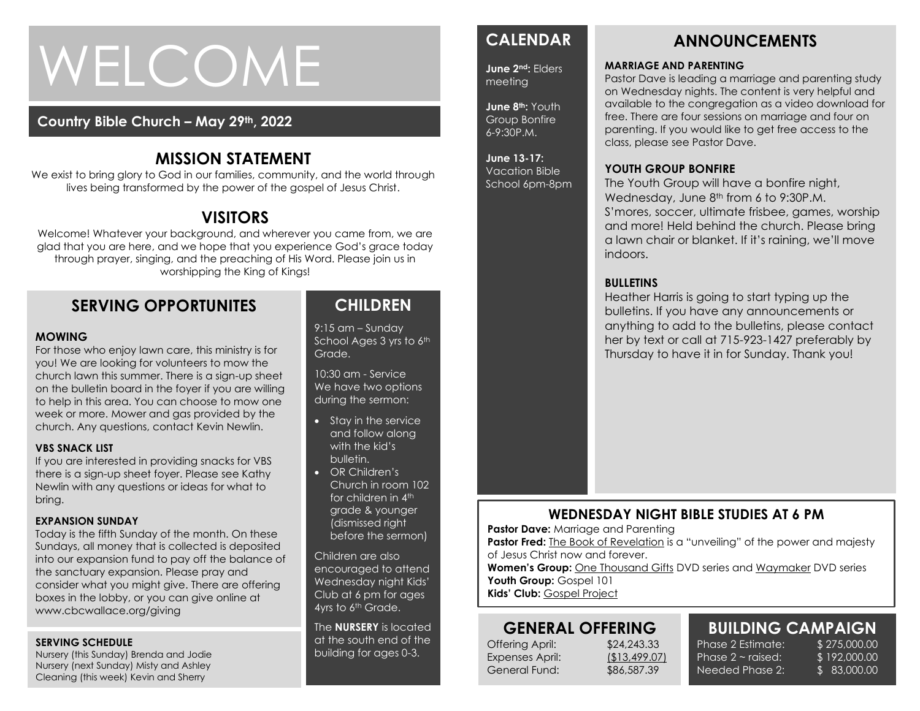# WELCOME

#### **Country Bible Church – May 29th, 2022**

# **MISSION STATEMENT**

We exist to bring glory to God in our families, community, and the world through lives being transformed by the power of the gospel of Jesus Christ.

# **VISITORS**

Welcome! Whatever your background, and wherever you came from, we are glad that you are here, and we hope that you experience God's grace today through prayer, singing, and the preaching of His Word. Please join us in worshipping the King of Kings!

# **SERVING OPPORTUNITES**

#### **MOWING**

week or more. Mower and gas provided by the<br>week or more. Mower and gas provided by the For those who enjoy lawn care, this ministry is for you! We are looking for volunteers to mow the church lawn this summer. There is a sign-up sheet on the bulletin board in the foyer if you are willing to help in this area. You can choose to mow one church. Any questions, contact Kevin Newlin.

#### **VBS SNACK LIST**

If you are interested in providing snacks for VBS there is a sign-up sheet foyer. Please see Kathy Newlin with any questions or ideas for what to bring.

#### **EXPANSION SUNDAY**

Today is the fifth Sunday of the month. On these Sundays, all money that is collected is deposited into our expansion fund to pay off the balance of the sanctuary expansion. Please pray and consider what you might give. There are offering boxes in the lobby, or you can give online at www.cbcwallace.org/giving

#### **SERVING SCHEDULE**

Nursery (this Sunday) Brenda and Jodie Nursery (next Sunday) Misty and Ashley Cleaning (this week) Kevin and Sherry

# **CHILDREN**

9:15 am – Sunday School Ages 3 yrs to 6th Grade.

10:30 am - Service We have two options during the sermon:

- Stay in the service and follow along with the kid's bulletin.
- OR Children's Church in room 102 for children in 4<sup>th</sup> grade & younger (dismissed right before the sermon)

Children are also encouraged to attend Wednesday night Kids' Club at 6 pm for ages 4yrs to 6<sup>th</sup> Grade.

The **NURSERY** is located at the south end of the building for ages 0-3.

# **CALENDAR**

**June 2nd:** Elders meeting

**June 8th:** Youth Group Bonfire 6-9:30P.M.

#### **June 13-17:**  Vacation Bible School 6pm-8pm

The Youth Group will have a bonfire night, Wednesday, June 8<sup>th</sup> from 6 to 9:30P.M. S'mores, soccer, ultimate frisbee, games, worship and more! Held behind the church. Please bring a lawn chair or blanket. If it's raining, we'll move indoors.

#### **BULLETINS**

Heather Harris is going to start typing up the bulletins. If you have any announcements or anything to add to the bulletins, please contact her by text or call at 715-923-1427 preferably by Thursday to have it in for Sunday. Thank you!

#### **WEDNESDAY NIGHT BIBLE STUDIES AT 6 PM**

**Pastor Dave: Marriage and Parenting** 

**Pastor Fred:** The Book of Revelation is a "unveiling" of the power and majesty of Jesus Christ now and forever.

Women's Group: One Thousand Gifts DVD series and Waymaker DVD series Youth Group: Gospel 101

**Kids' Club:** Gospel Project

#### **GENERAL OFFERING**

Offering April: \$24,243.33 Expenses April: (\$13,499.07) General Fund: \$86,587.39

Phase  $2 \sim$  raised: Needed Phase 2:

**BUILDING CAMPAIGN** Phase 2 Estimate: \$275,000.00 \$ 192,000.00

\$ 83,000.00

**ANNOUNCEMENTS**

#### **MARRIAGE AND PARENTING**

**YOUTH GROUP BONFIRE**

Pastor Dave is leading a marriage and parenting study on Wednesday nights. The content is very helpful and available to the congregation as a video download for free. There are four sessions on marriage and four on parenting. If you would like to get free access to the class, please see Pastor Dave.